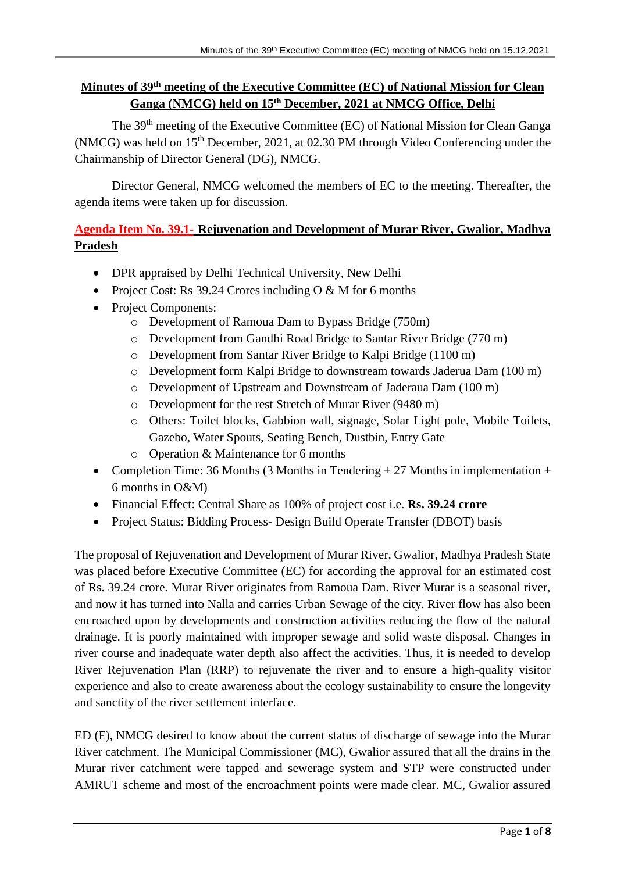# **Minutes of 39<sup>th</sup> meeting of the Executive Committee (EC) of National Mission for Clean Ganga (NMCG) held on 15th December, 2021 at NMCG Office, Delhi**

The 39<sup>th</sup> meeting of the Executive Committee (EC) of National Mission for Clean Ganga (NMCG) was held on  $15<sup>th</sup>$  December, 2021, at 02.30 PM through Video Conferencing under the Chairmanship of Director General (DG), NMCG.

Director General, NMCG welcomed the members of EC to the meeting. Thereafter, the agenda items were taken up for discussion.

# **Agenda Item No. 39.1- Rejuvenation and Development of Murar River, Gwalior, Madhya Pradesh**

- DPR appraised by Delhi Technical University, New Delhi
- Project Cost: Rs 39.24 Crores including  $O & M$  for 6 months
- Project Components:
	- o Development of Ramoua Dam to Bypass Bridge (750m)
	- o Development from Gandhi Road Bridge to Santar River Bridge (770 m)
	- o Development from Santar River Bridge to Kalpi Bridge (1100 m)
	- o Development form Kalpi Bridge to downstream towards Jaderua Dam (100 m)
	- o Development of Upstream and Downstream of Jaderaua Dam (100 m)
	- o Development for the rest Stretch of Murar River (9480 m)
	- o Others: Toilet blocks, Gabbion wall, signage, Solar Light pole, Mobile Toilets, Gazebo, Water Spouts, Seating Bench, Dustbin, Entry Gate
	- o Operation & Maintenance for 6 months
- Completion Time: 36 Months (3 Months in Tendering + 27 Months in implementation + 6 months in O&M)
- Financial Effect: Central Share as 100% of project cost i.e. **Rs. 39.24 crore**
- Project Status: Bidding Process- Design Build Operate Transfer (DBOT) basis

The proposal of Rejuvenation and Development of Murar River, Gwalior, Madhya Pradesh State was placed before Executive Committee (EC) for according the approval for an estimated cost of Rs. 39.24 crore. Murar River originates from Ramoua Dam. River Murar is a seasonal river, and now it has turned into Nalla and carries Urban Sewage of the city. River flow has also been encroached upon by developments and construction activities reducing the flow of the natural drainage. It is poorly maintained with improper sewage and solid waste disposal. Changes in river course and inadequate water depth also affect the activities. Thus, it is needed to develop River Rejuvenation Plan (RRP) to rejuvenate the river and to ensure a high-quality visitor experience and also to create awareness about the ecology sustainability to ensure the longevity and sanctity of the river settlement interface.

ED (F), NMCG desired to know about the current status of discharge of sewage into the Murar River catchment. The Municipal Commissioner (MC), Gwalior assured that all the drains in the Murar river catchment were tapped and sewerage system and STP were constructed under AMRUT scheme and most of the encroachment points were made clear. MC, Gwalior assured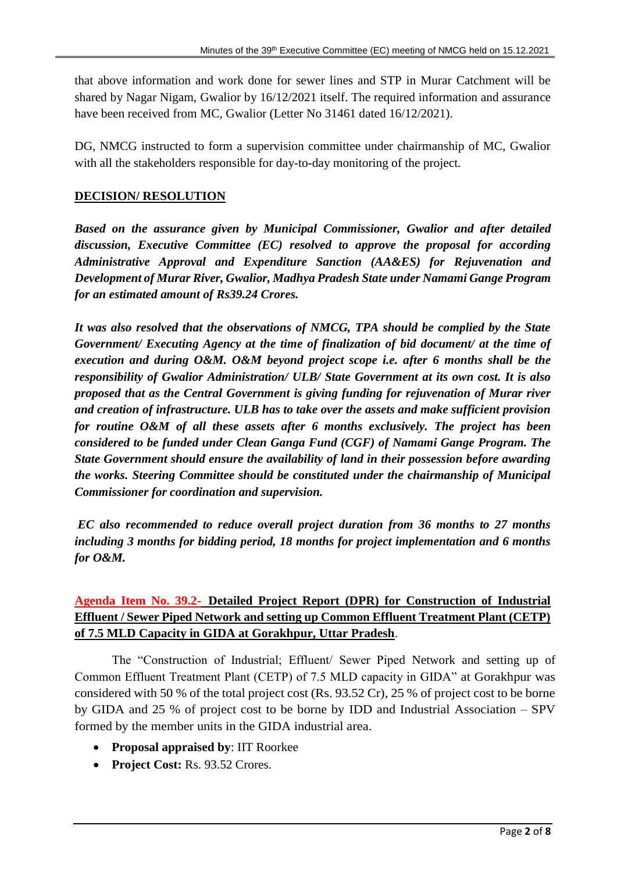that above information and work done for sewer lines and STP in Murar Catchment will be shared by Nagar Nigam, Gwalior by 16/12/2021 itself. The required information and assurance have been received from MC, Gwalior (Letter No 31461 dated 16/12/2021).

DG, NMCG instructed to form a supervision committee under chairmanship of MC, Gwalior with all the stakeholders responsible for day-to-day monitoring of the project.

#### **DECISION/ RESOLUTION**

*Based on the assurance given by Municipal Commissioner, Gwalior and after detailed discussion, Executive Committee (EC) resolved to approve the proposal for according Administrative Approval and Expenditure Sanction (AA&ES) for Rejuvenation and Development of Murar River, Gwalior, Madhya Pradesh State under Namami Gange Program for an estimated amount of Rs39.24 Crores.*

*It was also resolved that the observations of NMCG, TPA should be complied by the State Government/ Executing Agency at the time of finalization of bid document/ at the time of execution and during O&M. O&M beyond project scope i.e. after 6 months shall be the responsibility of Gwalior Administration/ ULB/ State Government at its own cost. It is also proposed that as the Central Government is giving funding for rejuvenation of Murar river and creation of infrastructure. ULB has to take over the assets and make sufficient provision for routine O&M of all these assets after 6 months exclusively. The project has been considered to be funded under Clean Ganga Fund (CGF) of Namami Gange Program. The State Government should ensure the availability of land in their possession before awarding the works. Steering Committee should be constituted under the chairmanship of Municipal Commissioner for coordination and supervision.*

*EC also recommended to reduce overall project duration from 36 months to 27 months including 3 months for bidding period, 18 months for project implementation and 6 months for O&M.*

# **Agenda Item No. 39.2- Detailed Project Report (DPR) for Construction of Industrial Effluent / Sewer Piped Network and setting up Common Effluent Treatment Plant (CETP) of 7.5 MLD Capacity in GIDA at Gorakhpur, Uttar Pradesh**.

The "Construction of Industrial; Effluent/ Sewer Piped Network and setting up of Common Effluent Treatment Plant (CETP) of 7.5 MLD capacity in GIDA" at Gorakhpur was considered with 50 % of the total project cost (Rs. 93.52 Cr), 25 % of project cost to be borne by GIDA and 25 % of project cost to be borne by IDD and Industrial Association – SPV formed by the member units in the GIDA industrial area.

- **Proposal appraised by**: IIT Roorkee
- Project Cost: Rs. 93.52 Crores.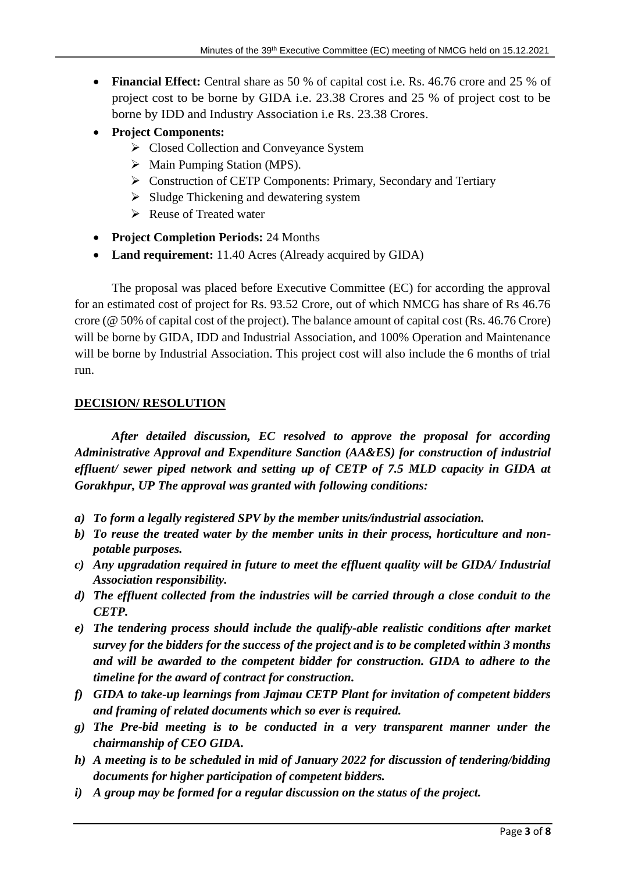- **Financial Effect:** Central share as 50 % of capital cost i.e. Rs. 46.76 crore and 25 % of project cost to be borne by GIDA i.e. 23.38 Crores and 25 % of project cost to be borne by IDD and Industry Association i.e Rs. 23.38 Crores.
- **Project Components:**
	- Closed Collection and Conveyance System
	- $\triangleright$  Main Pumping Station (MPS).
	- Construction of CETP Components: Primary, Secondary and Tertiary
	- $\triangleright$  Sludge Thickening and dewatering system
	- Reuse of Treated water
- **Project Completion Periods:** 24 Months
- **Land requirement:** 11.40 Acres (Already acquired by GIDA)

The proposal was placed before Executive Committee (EC) for according the approval for an estimated cost of project for Rs. 93.52 Crore, out of which NMCG has share of Rs 46.76 crore (@ 50% of capital cost of the project). The balance amount of capital cost (Rs. 46.76 Crore) will be borne by GIDA, IDD and Industrial Association, and 100% Operation and Maintenance will be borne by Industrial Association. This project cost will also include the 6 months of trial run.

## **DECISION/ RESOLUTION**

*After detailed discussion, EC resolved to approve the proposal for according Administrative Approval and Expenditure Sanction (AA&ES) for construction of industrial effluent/ sewer piped network and setting up of CETP of 7.5 MLD capacity in GIDA at Gorakhpur, UP The approval was granted with following conditions:* 

- *a) To form a legally registered SPV by the member units/industrial association.*
- *b) To reuse the treated water by the member units in their process, horticulture and nonpotable purposes.*
- *c) Any upgradation required in future to meet the effluent quality will be GIDA/ Industrial Association responsibility.*
- *d) The effluent collected from the industries will be carried through a close conduit to the CETP.*
- *e) The tendering process should include the qualify-able realistic conditions after market survey for the bidders for the success of the project and is to be completed within 3 months and will be awarded to the competent bidder for construction. GIDA to adhere to the timeline for the award of contract for construction.*
- *f) GIDA to take-up learnings from Jajmau CETP Plant for invitation of competent bidders and framing of related documents which so ever is required.*
- *g) The Pre-bid meeting is to be conducted in a very transparent manner under the chairmanship of CEO GIDA.*
- *h) A meeting is to be scheduled in mid of January 2022 for discussion of tendering/bidding documents for higher participation of competent bidders.*
- *i) A group may be formed for a regular discussion on the status of the project.*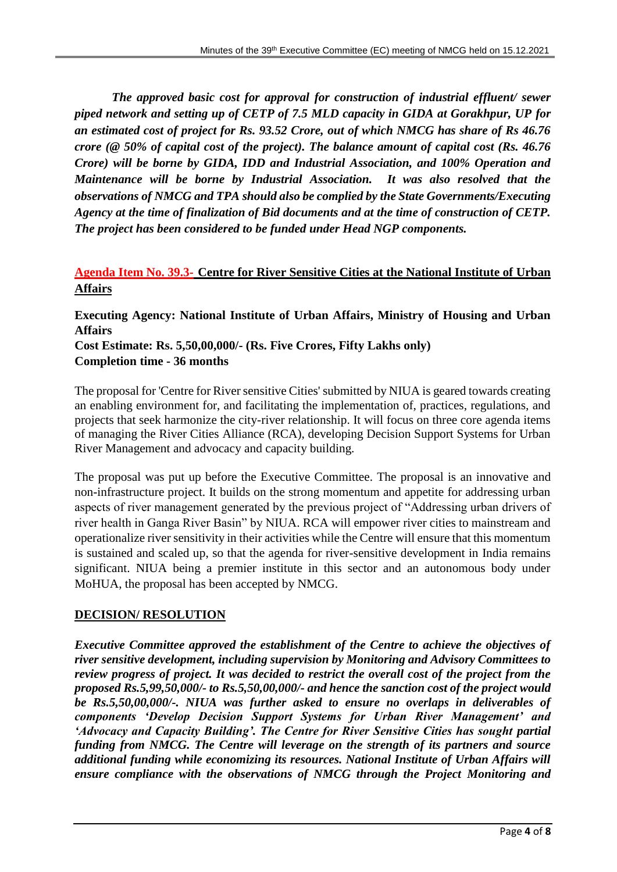*The approved basic cost for approval for construction of industrial effluent/ sewer piped network and setting up of CETP of 7.5 MLD capacity in GIDA at Gorakhpur, UP for an estimated cost of project for Rs. 93.52 Crore, out of which NMCG has share of Rs 46.76 crore (@ 50% of capital cost of the project). The balance amount of capital cost (Rs. 46.76 Crore)* will be borne by GIDA, IDD and Industrial Association, and 100% Operation and *Maintenance will be borne by Industrial Association. It was also resolved that the observations of NMCG and TPA should also be complied by the State Governments/Executing Agency at the time of finalization of Bid documents and at the time of construction of CETP. The project has been considered to be funded under Head NGP components.*

## **Agenda Item No. 39.3- Centre for River Sensitive Cities at the National Institute of Urban Affairs**

**Executing Agency: National Institute of Urban Affairs, Ministry of Housing and Urban Affairs Cost Estimate: Rs. 5,50,00,000/- (Rs. Five Crores, Fifty Lakhs only) Completion time - 36 months**

The proposal for 'Centre for River sensitive Cities' submitted by NIUA is geared towards creating an enabling environment for, and facilitating the implementation of, practices, regulations, and projects that seek harmonize the city-river relationship. It will focus on three core agenda items of managing the River Cities Alliance (RCA), developing Decision Support Systems for Urban River Management and advocacy and capacity building.

The proposal was put up before the Executive Committee. The proposal is an innovative and non-infrastructure project. It builds on the strong momentum and appetite for addressing urban aspects of river management generated by the previous project of "Addressing urban drivers of river health in Ganga River Basin" by NIUA. RCA will empower river cities to mainstream and operationalize river sensitivity in their activities while the Centre will ensure that this momentum is sustained and scaled up, so that the agenda for river-sensitive development in India remains significant. NIUA being a premier institute in this sector and an autonomous body under MoHUA, the proposal has been accepted by NMCG.

### **DECISION/ RESOLUTION**

*Executive Committee approved the establishment of the Centre to achieve the objectives of river sensitive development, including supervision by Monitoring and Advisory Committees to review progress of project. It was decided to restrict the overall cost of the project from the proposed Rs.5,99,50,000/- to Rs.5,50,00,000/- and hence the sanction cost of the project would be Rs.5,50,00,000/-. NIUA was further asked to ensure no overlaps in deliverables of components 'Develop Decision Support Systems for Urban River Management' and 'Advocacy and Capacity Building'. The Centre for River Sensitive Cities has sought partial funding from NMCG. The Centre will leverage on the strength of its partners and source additional funding while economizing its resources. National Institute of Urban Affairs will ensure compliance with the observations of NMCG through the Project Monitoring and*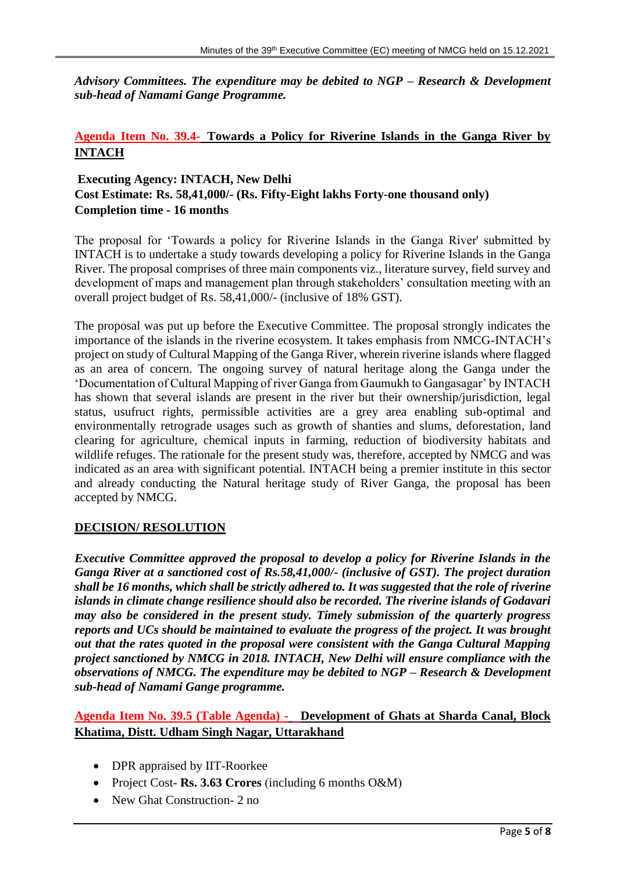*Advisory Committees. The expenditure may be debited to NGP – Research & Development sub-head of Namami Gange Programme.*

### **Agenda Item No. 39.4- Towards a Policy for Riverine Islands in the Ganga River by INTACH**

# **Executing Agency: INTACH, New Delhi Cost Estimate: Rs. 58,41,000/- (Rs. Fifty-Eight lakhs Forty-one thousand only) Completion time - 16 months**

The proposal for 'Towards a policy for Riverine Islands in the Ganga River' submitted by INTACH is to undertake a study towards developing a policy for Riverine Islands in the Ganga River. The proposal comprises of three main components viz., literature survey, field survey and development of maps and management plan through stakeholders' consultation meeting with an overall project budget of Rs. 58,41,000/- (inclusive of 18% GST).

The proposal was put up before the Executive Committee. The proposal strongly indicates the importance of the islands in the riverine ecosystem. It takes emphasis from NMCG-INTACH's project on study of Cultural Mapping of the Ganga River, wherein riverine islands where flagged as an area of concern. The ongoing survey of natural heritage along the Ganga under the 'Documentation of Cultural Mapping of river Ganga from Gaumukh to Gangasagar' by INTACH has shown that several islands are present in the river but their ownership/jurisdiction, legal status, usufruct rights, permissible activities are a grey area enabling sub-optimal and environmentally retrograde usages such as growth of shanties and slums, deforestation, land clearing for agriculture, chemical inputs in farming, reduction of biodiversity habitats and wildlife refuges. The rationale for the present study was, therefore, accepted by NMCG and was indicated as an area with significant potential. INTACH being a premier institute in this sector and already conducting the Natural heritage study of River Ganga, the proposal has been accepted by NMCG.

### **DECISION/ RESOLUTION**

*Executive Committee approved the proposal to develop a policy for Riverine Islands in the Ganga River at a sanctioned cost of Rs.58,41,000/- (inclusive of GST). The project duration shall be 16 months, which shall be strictly adhered to. It was suggested that the role of riverine islands in climate change resilience should also be recorded. The riverine islands of Godavari may also be considered in the present study. Timely submission of the quarterly progress reports and UCs should be maintained to evaluate the progress of the project. It was brought out that the rates quoted in the proposal were consistent with the Ganga Cultural Mapping project sanctioned by NMCG in 2018. INTACH, New Delhi will ensure compliance with the observations of NMCG. The expenditure may be debited to NGP – Research & Development sub-head of Namami Gange programme.*

## **Agenda Item No. 39.5 (Table Agenda) - Development of Ghats at Sharda Canal, Block Khatima, Distt. Udham Singh Nagar, Uttarakhand**

- DPR appraised by IIT-Roorkee
- Project Cost- **Rs. 3.63 Crores** (including 6 months O&M)
- New Ghat Construction- 2 no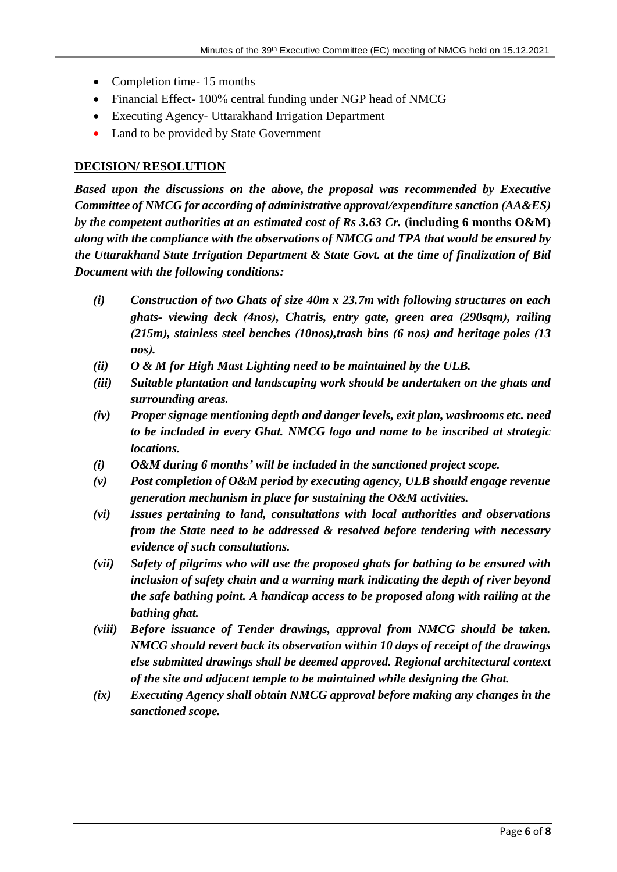- Completion time- 15 months
- Financial Effect- 100% central funding under NGP head of NMCG
- Executing Agency- Uttarakhand Irrigation Department
- Land to be provided by State Government

#### **DECISION/ RESOLUTION**

*Based upon the discussions on the above, the proposal was recommended by Executive Committee of NMCG for according of administrative approval/expenditure sanction (AA&ES) by the competent authorities at an estimated cost of Rs 3.63 Cr.* **(including 6 months O&M)** *along with the compliance with the observations of NMCG and TPA that would be ensured by the Uttarakhand State Irrigation Department & State Govt. at the time of finalization of Bid Document with the following conditions:*

- *(i) Construction of two Ghats of size 40m x 23.7m with following structures on each ghats- viewing deck (4nos), Chatris, entry gate, green area (290sqm), railing (215m), stainless steel benches (10nos),trash bins (6 nos) and heritage poles (13 nos).*
- *(ii) O & M for High Mast Lighting need to be maintained by the ULB.*
- *(iii) Suitable plantation and landscaping work should be undertaken on the ghats and surrounding areas.*
- *(iv) Proper signage mentioning depth and danger levels, exit plan, washrooms etc. need to be included in every Ghat. NMCG logo and name to be inscribed at strategic locations.*
- *(i) O&M during 6 months' will be included in the sanctioned project scope.*
- *(v) Post completion of O&M period by executing agency, ULB should engage revenue generation mechanism in place for sustaining the O&M activities.*
- *(vi) Issues pertaining to land, consultations with local authorities and observations from the State need to be addressed & resolved before tendering with necessary evidence of such consultations.*
- *(vii) Safety of pilgrims who will use the proposed ghats for bathing to be ensured with inclusion of safety chain and a warning mark indicating the depth of river beyond the safe bathing point. A handicap access to be proposed along with railing at the bathing ghat.*
- *(viii) Before issuance of Tender drawings, approval from NMCG should be taken. NMCG should revert back its observation within 10 days of receipt of the drawings else submitted drawings shall be deemed approved. Regional architectural context of the site and adjacent temple to be maintained while designing the Ghat.*
- *(ix) Executing Agency shall obtain NMCG approval before making any changes in the sanctioned scope.*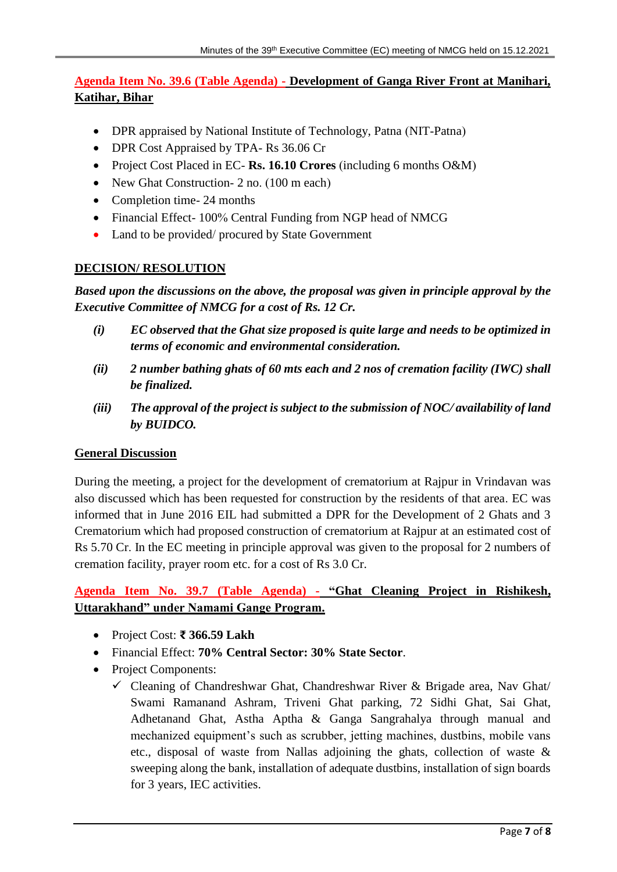## **Agenda Item No. 39.6 (Table Agenda) - Development of Ganga River Front at Manihari, Katihar, Bihar**

- DPR appraised by National Institute of Technology, Patna (NIT-Patna)
- DPR Cost Appraised by TPA- Rs 36.06 Cr
- Project Cost Placed in EC- **Rs. 16.10 Crores** (including 6 months O&M)
- New Ghat Construction- 2 no. (100 m each)
- Completion time- 24 months
- Financial Effect- 100% Central Funding from NGP head of NMCG
- Land to be provided/ procured by State Government

#### **DECISION/ RESOLUTION**

*Based upon the discussions on the above, the proposal was given in principle approval by the Executive Committee of NMCG for a cost of Rs. 12 Cr.*

- *(i) EC observed that the Ghat size proposed is quite large and needs to be optimized in terms of economic and environmental consideration.*
- *(ii) 2 number bathing ghats of 60 mts each and 2 nos of cremation facility (IWC) shall be finalized.*
- *(iii) The approval of the project is subject to the submission of NOC/ availability of land by BUIDCO.*

### **General Discussion**

During the meeting, a project for the development of crematorium at Rajpur in Vrindavan was also discussed which has been requested for construction by the residents of that area. EC was informed that in June 2016 EIL had submitted a DPR for the Development of 2 Ghats and 3 Crematorium which had proposed construction of crematorium at Rajpur at an estimated cost of Rs 5.70 Cr. In the EC meeting in principle approval was given to the proposal for 2 numbers of cremation facility, prayer room etc. for a cost of Rs 3.0 Cr.

## **Agenda Item No. 39.7 (Table Agenda) - "Ghat Cleaning Project in Rishikesh, Uttarakhand" under Namami Gange Program.**

- Project Cost: **₹ 366.59 Lakh**
- Financial Effect: **70% Central Sector: 30% State Sector**.
- Project Components:
	- Cleaning of Chandreshwar Ghat, Chandreshwar River & Brigade area, Nav Ghat/ Swami Ramanand Ashram, Triveni Ghat parking, 72 Sidhi Ghat, Sai Ghat, Adhetanand Ghat, Astha Aptha & Ganga Sangrahalya through manual and mechanized equipment's such as scrubber, jetting machines, dustbins, mobile vans etc., disposal of waste from Nallas adjoining the ghats, collection of waste & sweeping along the bank, installation of adequate dustbins, installation of sign boards for 3 years, IEC activities.